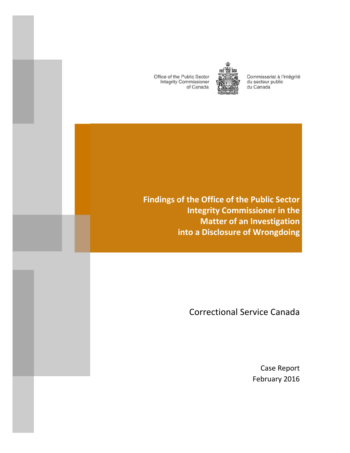Office of the Public Sector **Integrity Commissioner** of Canada

and the state of the state of the state of the state of the state of the state of the state of the state of th

and the control of the control of the control of the control of the control of the control of

the contract of the contract of



Commissariat à l'intégrité du secteur public du Canada

**Findings of the Office of the Public Sector Integrity Commissioner in the Matter of an Investigation into a Disclosure of Wrongdoing**

Correctional Service Canada

Case Report February 2016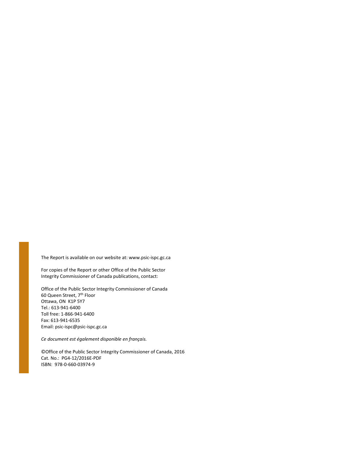The Report is available on our website at: www.psic‐ispc.gc.ca

For copies of the Report or other Office of the Public Sector Integrity Commissioner of Canada publications, contact:

Office of the Public Sector Integrity Commissioner of Canada 60 Queen Street, 7th Floor Ottawa, ON K1P 5Y7 Tel.: 613‐941‐6400 Toll free: 1‐866‐941‐6400 Fax: 613‐941‐6535 Email: psic‐ispc@psic‐ispc.gc.ca

*Ce document est également disponible en français.* 

©Office of the Public Sector Integrity Commissioner of Canada, 2016 Cat. No.: PG4‐12/2016E‐PDF ISBN: 978‐0‐660‐03974‐9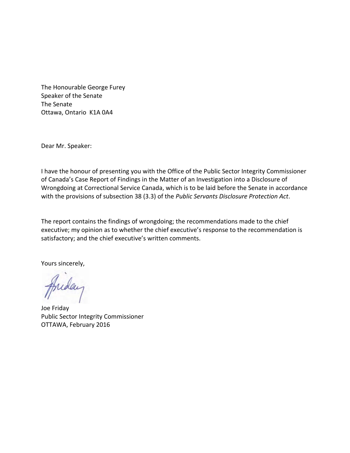The Honourable George Furey Speaker of the Senate The Senate Ottawa, Ontario K1A 0A4

Dear Mr. Speaker:

I have the honour of presenting you with the Office of the Public Sector Integrity Commissioner of Canada's Case Report of Findings in the Matter of an Investigation into a Disclosure of Wrongdoing at Correctional Service Canada, which is to be laid before the Senate in accordance with the provisions of subsection 38 (3.3) of the *Public Servants Disclosure Protection Act*.

The report contains the findings of wrongdoing; the recommendations made to the chief executive; my opinion as to whether the chief executive's response to the recommendation is satisfactory; and the chief executive's written comments.

Yours sincerely,

Joe Friday Public Sector Integrity Commissioner OTTAWA, February 2016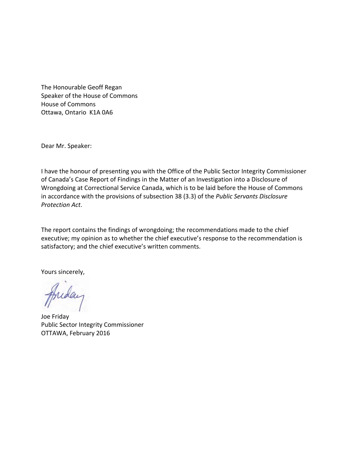The Honourable Geoff Regan Speaker of the House of Commons House of Commons Ottawa, Ontario K1A 0A6

Dear Mr. Speaker:

I have the honour of presenting you with the Office of the Public Sector Integrity Commissioner of Canada's Case Report of Findings in the Matter of an Investigation into a Disclosure of Wrongdoing at Correctional Service Canada, which is to be laid before the House of Commons in accordance with the provisions of subsection 38 (3.3) of the *Public Servants Disclosure Protection Act*.

The report contains the findings of wrongdoing; the recommendations made to the chief executive; my opinion as to whether the chief executive's response to the recommendation is satisfactory; and the chief executive's written comments.

Yours sincerely,

Juday

Joe Friday Public Sector Integrity Commissioner OTTAWA, February 2016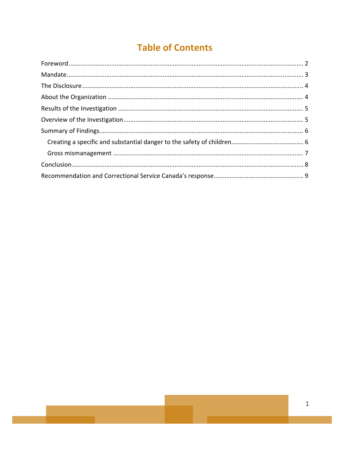# **Table of Contents**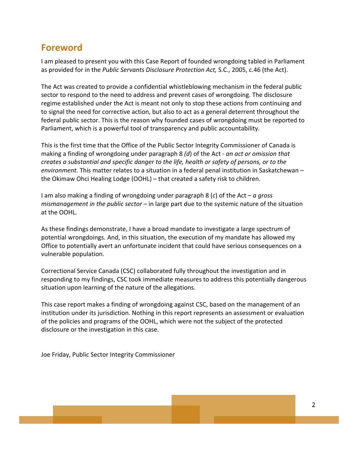#### **Foreword**

I am pleased to present you with this Case Report of founded wrongdoing tabled in Parliament as provided for in the *Public Servants Disclosure Protection Act,* S.C., 2005, c.46 (the Act).

The Act was created to provide a confidential whistleblowing mechanism in the federal public sector to respond to the need to address and prevent cases of wrongdoing. The disclosure regime established under the Act is meant not only to stop these actions from continuing and to signal the need for corrective action, but also to act as a general deterrent throughout the federal public sector. This is the reason why founded cases of wrongdoing must be reported to Parliament, which is a powerful tool of transparency and public accountability.

This is the first time that the Office of the Public Sector Integrity Commissioner of Canada is making a finding of wrongdoing under paragraph 8 *(d*) of the Act ‐ *an act or omission that creates a substantial and specific danger to the life, health or safety of persons, or to the environment.* This matter relates to a situation in a federal penal institution in Saskatchewan – the Okimaw Ohci Healing Lodge (OOHL) – that created a safety risk to children.

I am also making a finding of wrongdoing under paragraph 8 (*c*) of the Act – *a gross mismanagement in the public sector* – in large part due to the systemic nature of the situation at the OOHL.

As these findings demonstrate, I have a broad mandate to investigate a large spectrum of potential wrongdoings. And, in this situation, the execution of my mandate has allowed my Office to potentially avert an unfortunate incident that could have serious consequences on a vulnerable population.

Correctional Service Canada (CSC) collaborated fully throughout the investigation and in responding to my findings, CSC took immediate measures to address this potentially dangerous situation upon learning of the nature of the allegations.

This case report makes a finding of wrongdoing against CSC, based on the management of an institution under its jurisdiction. Nothing in this report represents an assessment or evaluation of the policies and programs of the OOHL, which were not the subject of the protected disclosure or the investigation in this case.

Joe Friday, Public Sector Integrity Commissioner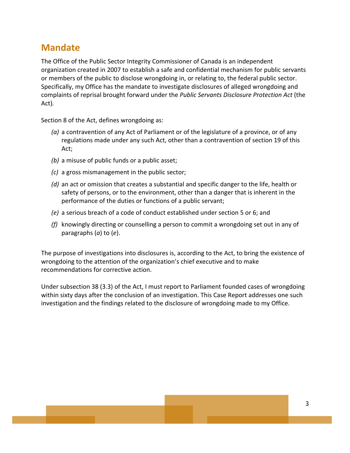## **Mandate**

The Office of the Public Sector Integrity Commissioner of Canada is an independent organization created in 2007 to establish a safe and confidential mechanism for public servants or members of the public to disclose wrongdoing in, or relating to, the federal public sector. Specifically, my Office has the mandate to investigate disclosures of alleged wrongdoing and complaints of reprisal brought forward under the *Public Servants Disclosure Protection Act* (the Act)*.*

Section 8 of the Act, defines wrongdoing as:

- *(a)* a contravention of any Act of Parliament or of the legislature of a province, or of any regulations made under any such Act, other than a contravention of section 19 of this Act;
- *(b)* a misuse of public funds or a public asset;
- *(c)* a gross mismanagement in the public sector;
- *(d)* an act or omission that creates a substantial and specific danger to the life, health or safety of persons, or to the environment, other than a danger that is inherent in the performance of the duties or functions of a public servant;
- *(e)* a serious breach of a code of conduct established under section 5 or 6; and
- *(f)* knowingly directing or counselling a person to commit a wrongdoing set out in any of paragraphs (*a*) to (*e*).

The purpose of investigations into disclosures is, according to the Act, to bring the existence of wrongdoing to the attention of the organization's chief executive and to make recommendations for corrective action.

Under subsection 38 (3.3) of the Act, I must report to Parliament founded cases of wrongdoing within sixty days after the conclusion of an investigation. This Case Report addresses one such investigation and the findings related to the disclosure of wrongdoing made to my Office.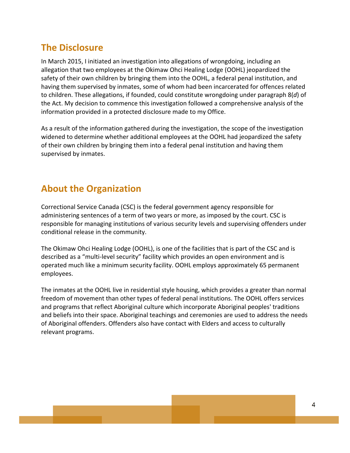## **The Disclosure**

In March 2015, I initiated an investigation into allegations of wrongdoing, including an allegation that two employees at the Okimaw Ohci Healing Lodge (OOHL) jeopardized the safety of their own children by bringing them into the OOHL, a federal penal institution, and having them supervised by inmates, some of whom had been incarcerated for offences related to children. These allegations, if founded, could constitute wrongdoing under paragraph 8(*d*) of the Act. My decision to commence this investigation followed a comprehensive analysis of the information provided in a protected disclosure made to my Office.

As a result of the information gathered during the investigation, the scope of the investigation widened to determine whether additional employees at the OOHL had jeopardized the safety of their own children by bringing them into a federal penal institution and having them supervised by inmates.

# **About the Organization**

Correctional Service Canada (CSC) is the federal government agency responsible for administering sentences of a term of two years or more, as imposed by the court. CSC is responsible for managing institutions of various security levels and supervising offenders under conditional release in the community.

The Okimaw Ohci Healing Lodge (OOHL), is one of the facilities that is part of the CSC and is described as a "multi‐level security" facility which provides an open environment and is operated much like a minimum security facility. OOHL employs approximately 65 permanent employees.

The inmates at the OOHL live in residential style housing, which provides a greater than normal freedom of movement than other types of federal penal institutions. The OOHL offers services and programs that reflect Aboriginal culture which incorporate Aboriginal peoples' traditions and beliefs into their space. Aboriginal teachings and ceremonies are used to address the needs of Aboriginal offenders. Offenders also have contact with Elders and access to culturally relevant programs.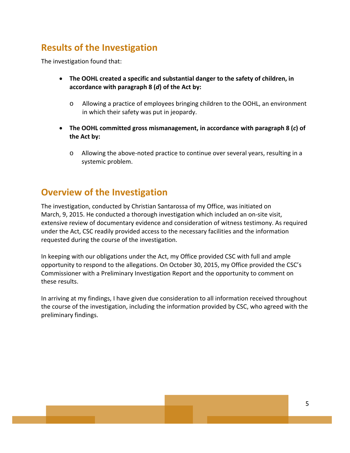# **Results of the Investigation**

The investigation found that:

- **The OOHL created a specific and substantial danger to the safety of children, in accordance with paragraph 8 (***d***) of the Act by:**
	- o Allowing a practice of employees bringing children to the OOHL, an environment in which their safety was put in jeopardy.
- **The OOHL committed gross mismanagement, in accordance with paragraph 8 (***c***) of the Act by:**
	- o Allowing the above‐noted practice to continue over several years, resulting in a systemic problem.

### **Overview of the Investigation**

The investigation, conducted by Christian Santarossa of my Office, was initiated on March, 9, 2015. He conducted a thorough investigation which included an on‐site visit, extensive review of documentary evidence and consideration of witness testimony. As required under the Act, CSC readily provided access to the necessary facilities and the information requested during the course of the investigation.

In keeping with our obligations under the Act, my Office provided CSC with full and ample opportunity to respond to the allegations. On October 30, 2015, my Office provided the CSC's Commissioner with a Preliminary Investigation Report and the opportunity to comment on these results.

In arriving at my findings, I have given due consideration to all information received throughout the course of the investigation, including the information provided by CSC, who agreed with the preliminary findings.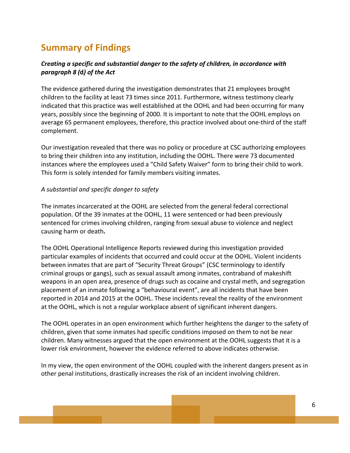# **Summary of Findings**

#### *Creating a specific and substantial danger to the safety of children, in accordance with paragraph 8 (***d***) of the Act*

The evidence gathered during the investigation demonstrates that 21 employees brought children to the facility at least 73 times since 2011. Furthermore, witness testimony clearly indicated that this practice was well established at the OOHL and had been occurring for many years, possibly since the beginning of 2000. It is important to note that the OOHL employs on average 65 permanent employees, therefore, this practice involved about one-third of the staff complement.

Our investigation revealed that there was no policy or procedure at CSC authorizing employees to bring their children into any institution, including the OOHL. There were 73 documented instances where the employees used a "Child Safety Waiver" form to bring their child to work. This form is solely intended for family members visiting inmates.

#### *A substantial and specific danger to safety*

The inmates incarcerated at the OOHL are selected from the general federal correctional population. Of the 39 inmates at the OOHL, 11 were sentenced or had been previously sentenced for crimes involving children, ranging from sexual abuse to violence and neglect causing harm or death**.**

The OOHL Operational Intelligence Reports reviewed during this investigation provided particular examples of incidents that occurred and could occur at the OOHL. Violent incidents between inmates that are part of "Security Threat Groups" (CSC terminology to identify criminal groups or gangs), such as sexual assault among inmates, contraband of makeshift weapons in an open area, presence of drugs such as cocaine and crystal meth, and segregation placement of an inmate following a "behavioural event", are all incidents that have been reported in 2014 and 2015 at the OOHL. These incidents reveal the reality of the environment at the OOHL, which is not a regular workplace absent of significant inherent dangers.

The OOHL operates in an open environment which further heightens the danger to the safety of children, given that some inmates had specific conditions imposed on them to not be near children. Many witnesses argued that the open environment at the OOHL suggests that it is a lower risk environment, however the evidence referred to above indicates otherwise.

In my view, the open environment of the OOHL coupled with the inherent dangers present as in other penal institutions, drastically increases the risk of an incident involving children.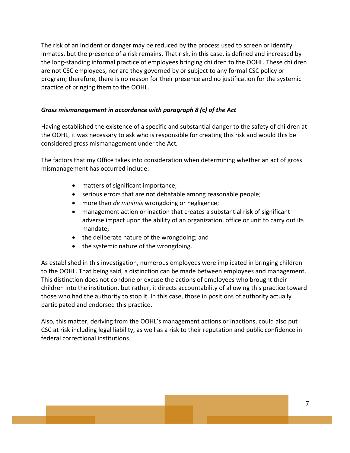The risk of an incident or danger may be reduced by the process used to screen or identify inmates, but the presence of a risk remains. That risk, in this case, is defined and increased by the long‐standing informal practice of employees bringing children to the OOHL. These children are not CSC employees, nor are they governed by or subject to any formal CSC policy or program; therefore, there is no reason for their presence and no justification for the systemic practice of bringing them to the OOHL.

#### *Gross mismanagement in accordance with paragraph 8 (***c***) of the Act*

Having established the existence of a specific and substantial danger to the safety of children at the OOHL, it was necessary to ask who is responsible for creating this risk and would this be considered gross mismanagement under the Act*.*

The factors that my Office takes into consideration when determining whether an act of gross mismanagement has occurred include:

- matters of significant importance;
- serious errors that are not debatable among reasonable people;
- more than *de minimis* wrongdoing or negligence;
- management action or inaction that creates a substantial risk of significant adverse impact upon the ability of an organization, office or unit to carry out its mandate;
- the deliberate nature of the wrongdoing; and
- the systemic nature of the wrongdoing.

As established in this investigation, numerous employees were implicated in bringing children to the OOHL. That being said, a distinction can be made between employees and management. This distinction does not condone or excuse the actions of employees who brought their children into the institution, but rather, it directs accountability of allowing this practice toward those who had the authority to stop it. In this case, those in positions of authority actually participated and endorsed this practice.

Also, this matter, deriving from the OOHL's management actions or inactions, could also put CSC at risk including legal liability, as well as a risk to their reputation and public confidence in federal correctional institutions.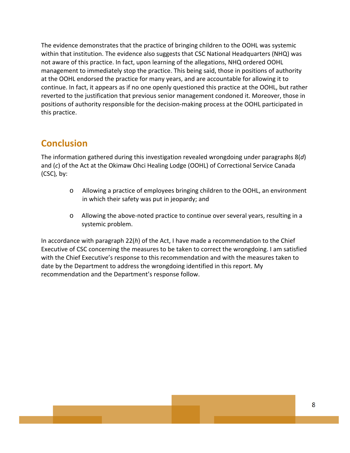The evidence demonstrates that the practice of bringing children to the OOHL was systemic within that institution. The evidence also suggests that CSC National Headquarters (NHQ) was not aware of this practice. In fact, upon learning of the allegations, NHQ ordered OOHL management to immediately stop the practice. This being said, those in positions of authority at the OOHL endorsed the practice for many years, and are accountable for allowing it to continue. In fact, it appears as if no one openly questioned this practice at the OOHL, but rather reverted to the justification that previous senior management condoned it. Moreover, those in positions of authority responsible for the decision‐making process at the OOHL participated in this practice.

## **Conclusion**

The information gathered during this investigation revealed wrongdoing under paragraphs 8(*d*) and (*c*) of the Act at the Okimaw Ohci Healing Lodge (OOHL) of Correctional Service Canada (CSC)*,* by:

- o Allowing a practice of employees bringing children to the OOHL, an environment in which their safety was put in jeopardy; and
- o Allowing the above‐noted practice to continue over several years, resulting in a systemic problem.

In accordance with paragraph 22(*h*) of the Act, I have made a recommendation to the Chief Executive of CSC concerning the measures to be taken to correct the wrongdoing. I am satisfied with the Chief Executive's response to this recommendation and with the measures taken to date by the Department to address the wrongdoing identified in this report. My recommendation and the Department's response follow.